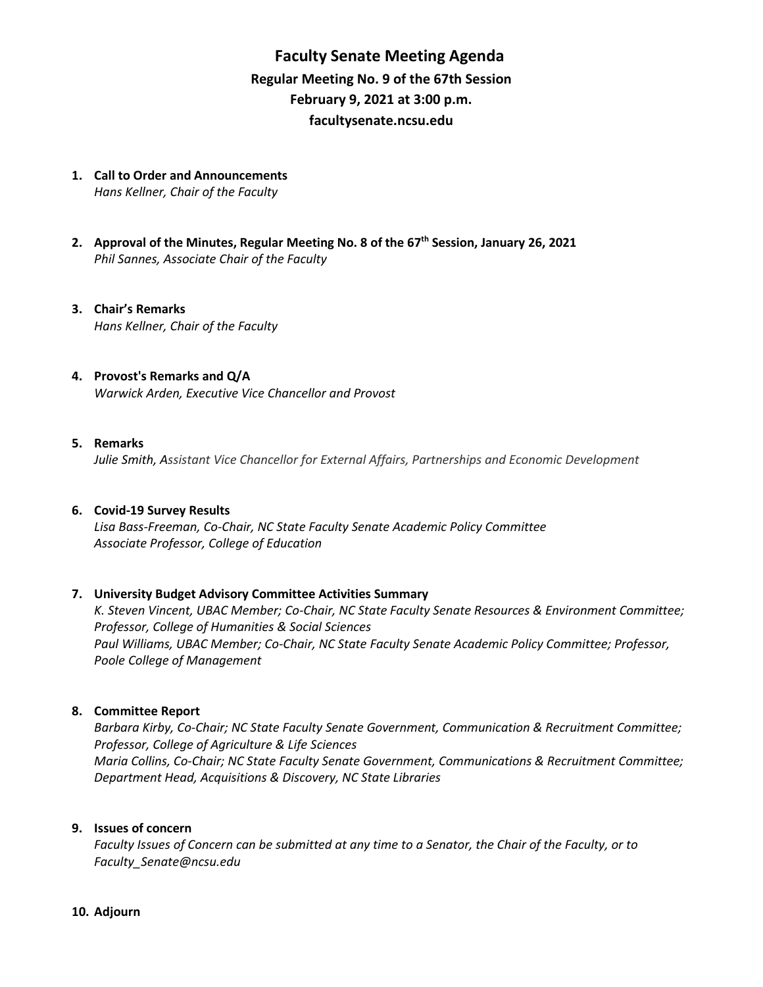# **Faculty Senate Meeting Agenda Regular Meeting No. 9 of the 67th Session February 9, 2021 at 3:00 p.m. [facultysenate.ncsu.edu](https://facultysenate.ncsu.edu/)**

- **1. Call to Order and Announcements** *Hans Kellner, Chair of the Faculty*
- **2. Approval of the Minutes, Regular Meeting No. 8 of the 67th Session, January 26, 2021** *Phil Sannes, Associate Chair of the Faculty*
- **3. Chair's Remarks** *Hans Kellner, Chair of the Faculty*
- **4. Provost's Remarks and Q/A** *Warwick Arden, Executive Vice Chancellor and Provost*

### **5. Remarks**

*Julie Smith, Assistant Vice Chancellor for External Affairs, Partnerships and Economic Development*

### **6. Covid-19 Survey Results**

*Lisa Bass-Freeman, Co-Chair, NC State Faculty Senate Academic Policy Committee Associate Professor, College of Education*

### **7. University Budget Advisory Committee Activities Summary**

*K. Steven Vincent, UBAC Member; Co-Chair, NC State Faculty Senate Resources & Environment Committee; Professor, College of Humanities & Social Sciences Paul Williams, UBAC Member; Co-Chair, NC State Faculty Senate Academic Policy Committee; Professor, Poole College of Management* 

### **8. Committee Report**

*Barbara Kirby, Co-Chair; NC State Faculty Senate Government, Communication & Recruitment Committee; Professor, College of Agriculture & Life Sciences Maria Collins, Co-Chair; NC State Faculty Senate Government, Communications & Recruitment Committee; Department Head, Acquisitions & Discovery, NC State Libraries*

#### **9. Issues of concern**

*Faculty Issues of Concern can be submitted at any time to a Senator, the Chair of the Faculty, or to [Faculty\\_Senate@ncsu.edu](mailto:Faculty_Senate@ncsu.edu)*